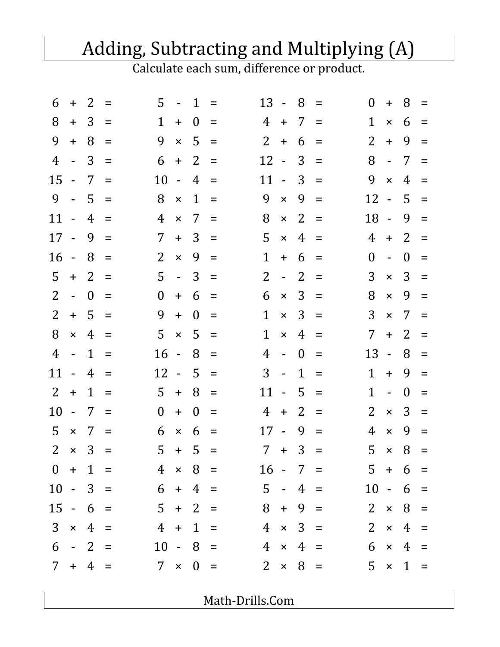## Adding, Subtracting and Multiplying (A)

Calculate each sum, difference or product.

| 6              | $+$              | 2              | $=$      | 5              |                     | $-1$         | $\equiv$ | 13                     | $\sim$ $-$                  | 8              | $\equiv$ | $\theta$           | $+$                       | 8              | $=$               |
|----------------|------------------|----------------|----------|----------------|---------------------|--------------|----------|------------------------|-----------------------------|----------------|----------|--------------------|---------------------------|----------------|-------------------|
| 8              | $+$              | 3              | $=$      | 1              | $+$                 | $\bf{0}$     | $=$      | 4                      | $+$                         | 7              | $\equiv$ | 1                  | $\pmb{\times}$            | 6              | $=$               |
| 9              | $+$              | 8              | $\equiv$ | 9              |                     | $\times$ 5   | $\equiv$ | 2 <sup>1</sup>         | $+$                         | 6              | $=$      | 2                  | $+$                       | 9              | $=$               |
| 4              | $\sim$ $-$       | 3              | $\equiv$ | 6              | $+$                 | 2            | $\equiv$ | 12                     | $\sim$                      | 3              | $=$      | 8                  | $\sim$                    | $\overline{7}$ | $=$               |
| 15             | $\sim$           | 7              | $=$      | 10             | $\omega_{\rm{eff}}$ | 4            | $=$      | 11                     | $\sim$                      | 3              | $=$      | 9                  | $\mathsf{x}$              | $\overline{4}$ | $=$               |
| 9              | $\sim$           | 5              | $=$      | 8              | $\mathsf{x}$        | $\mathbf{1}$ | $\equiv$ | 9                      | $\mathsf{x}$                | 9              | $\equiv$ | $12 -$             |                           | $5 -$          | $=$               |
| $11 -$         |                  | 4              | $=$      | 4              | $\mathsf{x}$        | 7            | $=$      | 8                      | $\mathsf{x}$                | 2              | $=$      | $18 -$             |                           | 9              | $=$               |
| $17 -$         |                  | 9              | $=$      | 7              | $+$                 | 3            | $=$      | 5                      | $\pmb{\times}$              | 4              | $\equiv$ | 4                  | $+$                       | 2              | $=$               |
| $16 -$         |                  | 8              | $=$      | 2              | $\mathsf{x}$        | 9            | $=$      | $\mathbf{1}$           | $+$                         | 6              | $=$      | $\theta$           | $\Box$                    | $\Omega$       | $=$               |
| 5              | $+$              | $\overline{2}$ | $=$      | 5              | $\omega_{\rm{max}}$ | 3            | $=$      | $\overline{2}$         | $\mathbb{Z}^2$              | 2              | $\equiv$ | 3                  | $\times$                  | 3              | $\equiv$          |
| 2              | $\omega_{\rm c}$ | $\overline{0}$ | $=$      | $\overline{0}$ | $+$                 | 6            | $=$      | 6                      | $\pmb{\times}$              | 3              | $\equiv$ | 8                  | $\times$                  | 9              | $=$               |
| 2              | $+$              | 5              | $=$      | 9              | $+$                 | $\theta$     | $=$      | $\mathbf{1}$           | $\pmb{\times}$              | 3              | $\equiv$ | 3                  | $\times$                  | 7              | $=$               |
| 8              | $\pmb{\times}$   | $\overline{4}$ | $=$      | 5              | $\mathsf{x}$        | 5            | $\equiv$ | 1                      | $\pmb{\times}$              | 4              | $=$      | $7\overline{ }$    | $+$                       | 2              | $=$               |
| $\overline{4}$ | $\sim 10$        | $\mathbf{1}$   | $=$      | 16             | $\sim 10$           | 8            | $=$      | 4                      | $\mathbf{L}^{\mathcal{A}}$  | $\theta$       | $\equiv$ | 13 -               |                           | 8              | $=$               |
| 11             | $\sim$ $-$       | $\overline{4}$ | $=$      | 12             | $\sim 10$           | 5            | $=$      | 3                      | $\mathcal{L}_{\mathcal{A}}$ | $\mathbf{1}$   | $\equiv$ | 1                  | $+$                       | 9              | $=$               |
| 2              | $+$              | $\mathbf 1$    | $=$      | 5              | $+$                 | 8            | $=$      | 11                     | $\sim$                      | 5              | $=$      | 1                  | $\Box$                    | $\Omega$       | $=$               |
| 10             | $\Box$           | 7              | $=$      | $\theta$       | $+$                 | $\theta$     | $=$      | 4                      | $+$                         | 2              | $\equiv$ | $\overline{2}$     | $\pmb{\times}$            | 3              | $=$               |
| 5              | $\pmb{\times}$   | 7              | $=$      | 6              | $\times$            | 6            | $\equiv$ | 17                     | $\overline{a}$              | 9              | $=$      | 4                  | $\boldsymbol{\mathsf{x}}$ | 9              | $=$               |
| $\overline{2}$ | $\pmb{\times}$   | 3              | $\equiv$ | 5              | $+$                 | - 5          | $=$      | $7 +$                  |                             | 3              | $\equiv$ | 5                  | $\pmb{\times}$            | 8              | $\qquad \qquad =$ |
|                |                  |                |          | $0 + 1 =$      |                     |              |          | $4 \times 8 =$         |                             |                |          | $16 - 7 = 5 + 6 =$ |                           |                |                   |
| $10 - 3 =$     |                  |                |          |                |                     |              |          | $6 + 4 = 5 - 4 =$      |                             |                |          |                    |                           | $10 - 6 =$     |                   |
| $15 - 6 =$     |                  |                |          | $5 + 2 =$      |                     |              |          | $8 + 9 =$              |                             |                |          | $2 \times 8 =$     |                           |                |                   |
|                |                  | $3 \times 4 =$ |          |                |                     |              |          | $4 + 1 = 4 \times 3 =$ |                             |                |          |                    |                           | $2 \times 4 =$ |                   |
|                |                  | $6 - 2 =$      |          |                |                     |              |          | $10 - 8 =$             |                             |                |          | $4 \times 4 =$     |                           | $6 \times 4 =$ |                   |
|                |                  | $7 + 4 =$      |          |                |                     |              |          | $7 \times 0 =$         |                             | $2 \times 8 =$ |          |                    |                           | $5 \times 1 =$ |                   |
|                |                  |                |          |                |                     |              |          |                        |                             |                |          |                    |                           |                |                   |

Math-Drills.Com